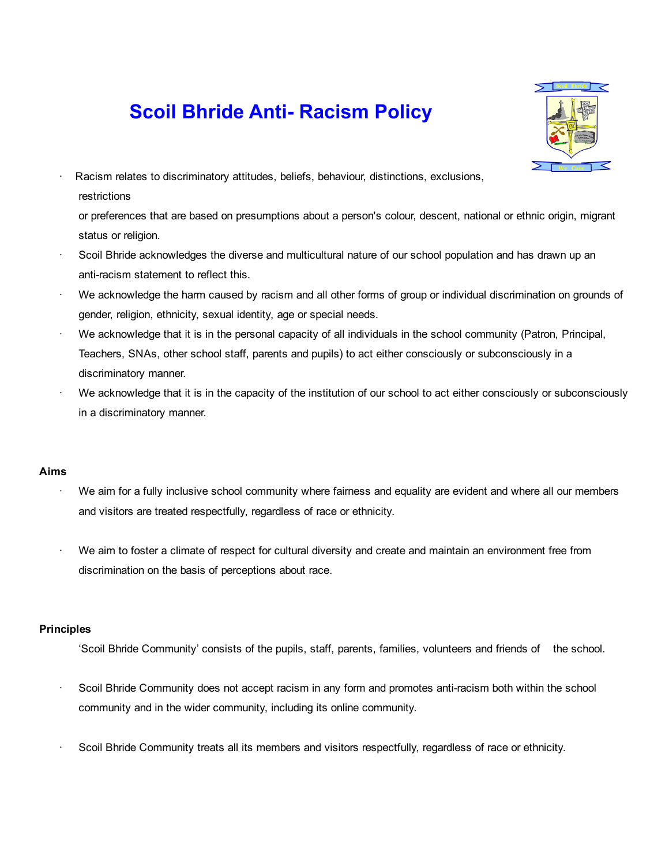## **Scoil Bhride Anti- Racism Policy**



· Racism relates to discriminatory attitudes, beliefs, behaviour, distinctions, exclusions, restrictions

or preferences that are based on presumptions about a person's colour, descent, national or ethnic origin, migrant status or religion.

- Scoil Bhride acknowledges the diverse and multicultural nature of our school population and has drawn up an anti-racism statement to reflect this.
- We acknowledge the harm caused by racism and all other forms of group or individual discrimination on grounds of gender, religion, ethnicity, sexual identity, age or special needs.
- · We acknowledge that it is in the personal capacity of all individuals in the school community (Patron, Principal, Teachers, SNAs, other school staff, parents and pupils) to act either consciously or subconsciously in a discriminatory manner.
- We acknowledge that it is in the capacity of the institution of our school to act either consciously or subconsciously in a discriminatory manner.

## Aims

- We aim for a fully inclusive school community where fairness and equality are evident and where all our members and visitors are treated respectfully, regardless of race or ethnicity.
- We aim to foster a climate of respect for cultural diversity and create and maintain an environment free from discrimination on the basis of perceptions about race.

## Principles

- 'Scoil Bhride Community' consists of the pupils, staff, parents, families, volunteers and friends of the school.
- Scoil Bhride Community does not accept racism in any form and promotes anti-racism both within the school community and in the wider community, including its online community.
- Scoil Bhride Community treats all its members and visitors respectfully, regardless of race or ethnicity.